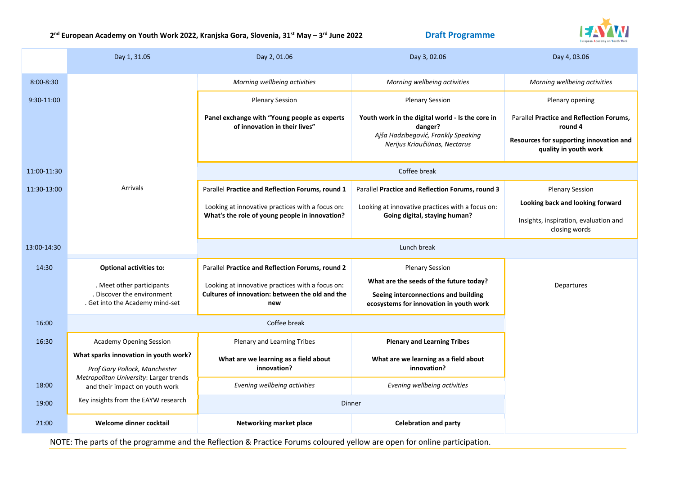**2 nd European Academy on Youth Work 2022, Kranjska Gora, Slovenia, 31st May – 3**

**Draft Programme** 



|               | Day 1, 31.05                                                            | Day 2, 01.06                                                                  | Day 3, 02.06                                                                    | Day 4, 03.06                                                     |  |
|---------------|-------------------------------------------------------------------------|-------------------------------------------------------------------------------|---------------------------------------------------------------------------------|------------------------------------------------------------------|--|
| $8:00 - 8:30$ |                                                                         | Morning wellbeing activities                                                  | Morning wellbeing activities                                                    | Morning wellbeing activities                                     |  |
| 9:30-11:00    |                                                                         | <b>Plenary Session</b>                                                        | <b>Plenary Session</b>                                                          | Plenary opening                                                  |  |
|               |                                                                         | Panel exchange with "Young people as experts<br>of innovation in their lives" | Youth work in the digital world - Is the core in<br>danger?                     | Parallel Practice and Reflection Forums,<br>round 4              |  |
|               |                                                                         |                                                                               | Ajša Hadzibegović, Frankly Speaking<br>Nerijus Kriaučiūnas, Nectarus            | Resources for supporting innovation and<br>quality in youth work |  |
| 11:00-11:30   |                                                                         | Coffee break                                                                  |                                                                                 |                                                                  |  |
| 11:30-13:00   | Arrivals                                                                | Parallel Practice and Reflection Forums, round 1                              | Parallel Practice and Reflection Forums, round 3                                | <b>Plenary Session</b>                                           |  |
|               |                                                                         | Looking at innovative practices with a focus on:                              | Looking at innovative practices with a focus on:                                | Looking back and looking forward                                 |  |
|               |                                                                         | What's the role of young people in innovation?                                | Going digital, staying human?                                                   | Insights, inspiration, evaluation and<br>closing words           |  |
| 13:00-14:30   |                                                                         | Lunch break                                                                   |                                                                                 |                                                                  |  |
| 14:30         | <b>Optional activities to:</b>                                          | Parallel Practice and Reflection Forums, round 2                              | <b>Plenary Session</b>                                                          |                                                                  |  |
|               | . Meet other participants                                               | Looking at innovative practices with a focus on:                              | What are the seeds of the future today?                                         | Departures                                                       |  |
|               | Discover the environment<br>. Get into the Academy mind-set             | Cultures of innovation: between the old and the<br>new                        | Seeing interconnections and building<br>ecosystems for innovation in youth work |                                                                  |  |
| 16:00         | Coffee break                                                            |                                                                               |                                                                                 |                                                                  |  |
| 16:30         | <b>Academy Opening Session</b>                                          | Plenary and Learning Tribes                                                   | <b>Plenary and Learning Tribes</b>                                              |                                                                  |  |
|               | What sparks innovation in youth work?                                   | What are we learning as a field about                                         | What are we learning as a field about                                           |                                                                  |  |
|               | Prof Gary Pollock, Manchester<br>Metropolitan University: Larger trends | innovation?                                                                   | innovation?                                                                     |                                                                  |  |
| 18:00         | and their impact on youth work                                          | Evening wellbeing activities                                                  | Evening wellbeing activities                                                    |                                                                  |  |
| 19:00         | Key insights from the EAYW research                                     | Dinner                                                                        |                                                                                 |                                                                  |  |
| 21:00         | Welcome dinner cocktail                                                 | Networking market place                                                       | <b>Celebration and party</b>                                                    |                                                                  |  |

NOTE: The parts of the programme and the Reflection & Practice Forums coloured yellow are open for online participation.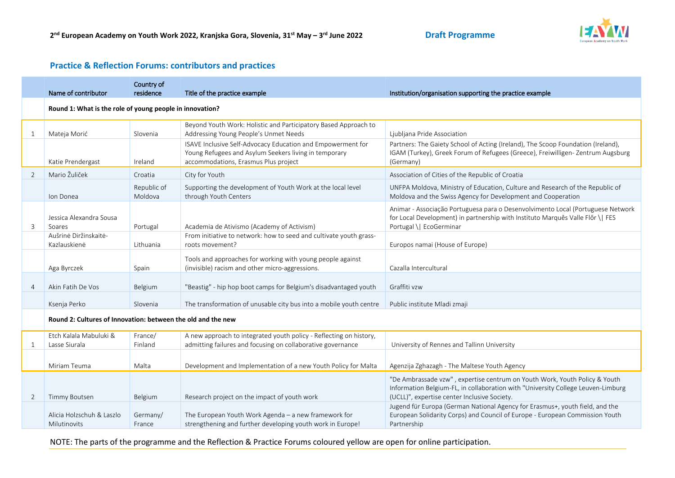

## **Practice & Reflection Forums: contributors and practices**

|                | Name of contributor                                          | Country of<br>residence | Title of the practice example                                                                                                                                | Institution/organisation supporting the practice example                                                                                                                                                       |  |  |
|----------------|--------------------------------------------------------------|-------------------------|--------------------------------------------------------------------------------------------------------------------------------------------------------------|----------------------------------------------------------------------------------------------------------------------------------------------------------------------------------------------------------------|--|--|
|                | Round 1: What is the role of young people in innovation?     |                         |                                                                                                                                                              |                                                                                                                                                                                                                |  |  |
| $\mathbf{1}$   | Mateja Morić                                                 | Slovenia                | Beyond Youth Work: Holistic and Participatory Based Approach to<br>Addressing Young People's Unmet Needs                                                     | Ljubljana Pride Association                                                                                                                                                                                    |  |  |
|                | Katie Prendergast                                            | Ireland                 | ISAVE Inclusive Self-Advocacy Education and Empowerment for<br>Young Refugees and Asylum Seekers living in temporary<br>accommodations, Erasmus Plus project | Partners: The Gaiety School of Acting (Ireland), The Scoop Foundation (Ireland),<br>IGAM (Turkey), Greek Forum of Refugees (Greece), Freiwilligen-Zentrum Augsburg<br>(Germany)                                |  |  |
| $\overline{2}$ | Mario Žuliček                                                | Croatia                 | City for Youth                                                                                                                                               | Association of Cities of the Republic of Croatia                                                                                                                                                               |  |  |
|                | Ion Donea                                                    | Republic of<br>Moldova  | Supporting the development of Youth Work at the local level<br>through Youth Centers                                                                         | UNFPA Moldova, Ministry of Education, Culture and Research of the Republic of<br>Moldova and the Swiss Agency for Development and Cooperation                                                                  |  |  |
| 3              | Jessica Alexandra Sousa<br>Soares                            | Portugal                | Academia de Ativismo (Academy of Activism)                                                                                                                   | Animar - Associação Portuguesa para o Desenvolvimento Local (Portuguese Network<br>for Local Development) in partnership with Instituto Marguês Valle Flôr \ FES<br>Portugal \  EcoGerminar                    |  |  |
|                | Aušrinė Diržinskaitė-<br>Kazlauskienė                        | Lithuania               | From initiative to network: how to seed and cultivate youth grass-<br>roots movement?                                                                        | Europos namai (House of Europe)                                                                                                                                                                                |  |  |
|                | Aga Byrczek                                                  | Spain                   | Tools and approaches for working with young people against<br>(invisible) racism and other micro-aggressions.                                                | Cazalla Intercultural                                                                                                                                                                                          |  |  |
| 4              | Akin Fatih De Vos                                            | Belgium                 | "Beastig" - hip hop boot camps for Belgium's disadvantaged youth                                                                                             | Graffiti vzw                                                                                                                                                                                                   |  |  |
|                | Ksenja Perko                                                 | Slovenia                | The transformation of unusable city bus into a mobile youth centre                                                                                           | Public institute Mladi zmaji                                                                                                                                                                                   |  |  |
|                | Round 2: Cultures of Innovation: between the old and the new |                         |                                                                                                                                                              |                                                                                                                                                                                                                |  |  |
| 1              | Etch Kalala Mabuluki &<br>Lasse Siurala                      | France/<br>Finland      | A new approach to integrated youth policy - Reflecting on history,<br>admitting failures and focusing on collaborative governance                            | University of Rennes and Tallinn University                                                                                                                                                                    |  |  |
|                | Miriam Teuma                                                 | Malta                   | Development and Implementation of a new Youth Policy for Malta                                                                                               | Agenzija Zghazagh - The Maltese Youth Agency                                                                                                                                                                   |  |  |
| 2              | <b>Timmy Boutsen</b>                                         | Belgium                 | Research project on the impact of youth work                                                                                                                 | "De Ambrassade vzw", expertise centrum on Youth Work, Youth Policy & Youth<br>Information Belgium-FL, in collaboration with "University College Leuven-Limburg<br>(UCLL)", expertise center Inclusive Society. |  |  |
|                | Alicia Holzschuh & Laszlo<br>Milutinovits                    | Germany/<br>France      | The European Youth Work Agenda - a new framework for<br>strengthening and further developing youth work in Europe!                                           | Jugend für Europa (German National Agency for Erasmus+, youth field, and the<br>European Solidarity Corps) and Council of Europe - European Commission Youth<br>Partnership                                    |  |  |

NOTE: The parts of the programme and the Reflection & Practice Forums coloured yellow are open for online participation.